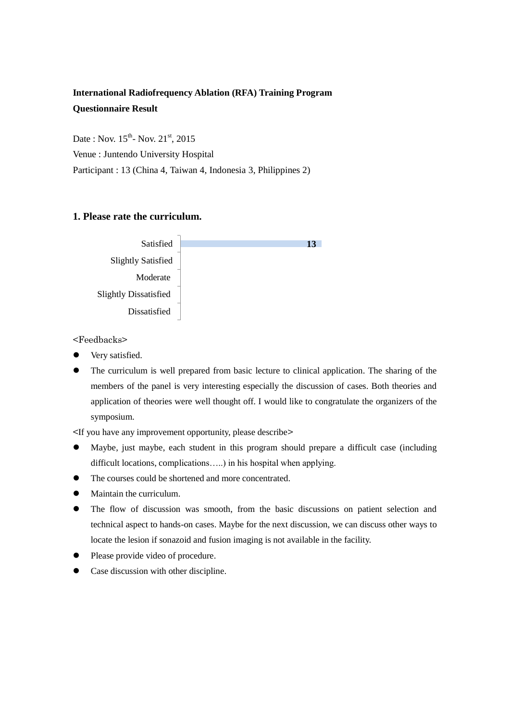## **International Radiofrequency Ablation (RFA) Training Program Questionnaire Result**

Date: Nov.  $15^{th}$ - Nov.  $21^{st}$ , 2015

Venue : Juntendo University Hospital

Participant : 13 (China 4, Taiwan 4, Indonesia 3, Philippines 2)

### **1. Please rate the curriculum.**



<Feedbacks>

- Very satisfied.
- The curriculum is well prepared from basic lecture to clinical application. The sharing of the members of the panel is very interesting especially the discussion of cases. Both theories and application of theories were well thought off. I would like to congratulate the organizers of the symposium.

<If you have any improvement opportunity, please describe>

- Maybe, just maybe, each student in this program should prepare a difficult case (including difficult locations, complications.....) in his hospital when applying.
- The courses could be shortened and more concentrated.
- Maintain the curriculum.
- The flow of discussion was smooth, from the basic discussions on patient selection and technical aspect to hands-on cases. Maybe for the next discussion, we can discuss other ways to locate the lesion if sonazoid and fusion imaging is not available in the facility.
- Please provide video of procedure.
- Case discussion with other discipline.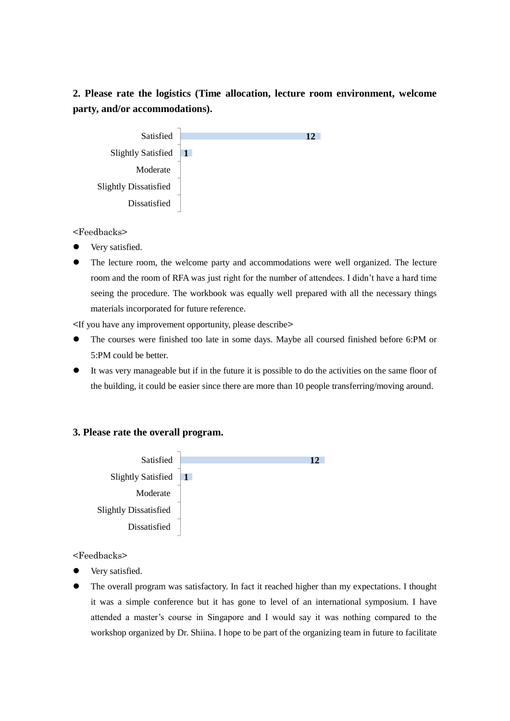# **2. Please rate the logistics (Time allocation, lecture room environment, welcome party, and/or accommodations).**



<Feedbacks>

- Very satisfied.
- The lecture room, the welcome party and accommodations were well organized. The lecture room and the room of RFA was just right for the number of attendees. I didn't have a hard time seeing the procedure. The workbook was equally well prepared with all the necessary things materials incorporated for future reference.

<If you have any improvement opportunity, please describe>

- The courses were finished too late in some days. Maybe all coursed finished before 6:PM or 5:PM could be better.
- It was very manageable but if in the future it is possible to do the activities on the same floor of the building, it could be easier since there are more than 10 people transferring/moving around.

### **3. Please rate the overall program.**



<Feedbacks>

- Very satisfied.
- The overall program was satisfactory. In fact it reached higher than my expectations. I thought it was a simple conference but it has gone to level of an international symposium. I have attended a master's course in Singapore and I would say it was nothing compared to the workshop organized by Dr. Shiina. I hope to be part of the organizing team in future to facilitate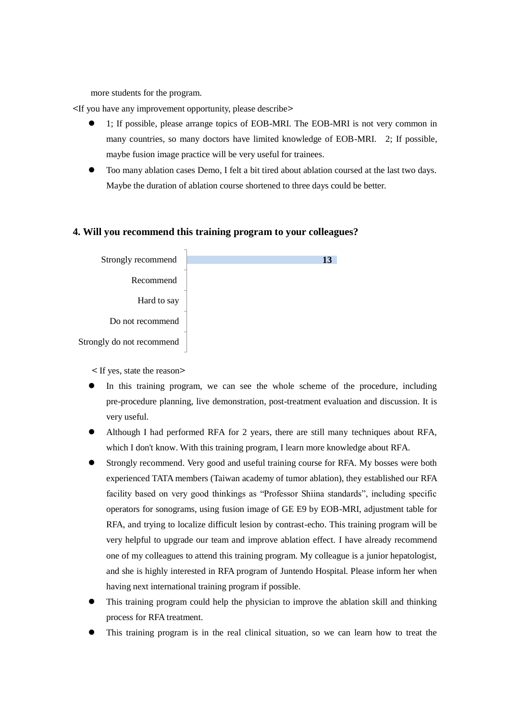more students for the program.

<If you have any improvement opportunity, please describe>

- 1; If possible, please arrange topics of EOB-MRI. The EOB-MRI is not very common in many countries, so many doctors have limited knowledge of EOB-MRI. 2; If possible, maybe fusion image practice will be very useful for trainees.
- Too many ablation cases Demo, I felt a bit tired about ablation coursed at the last two days. Maybe the duration of ablation course shortened to three days could be better.

#### **4. Will you recommend this training program to your colleagues?**



< If yes, state the reason>

- In this training program, we can see the whole scheme of the procedure, including pre-procedure planning, live demonstration, post-treatment evaluation and discussion. It is very useful.
- Although I had performed RFA for 2 years, there are still many techniques about RFA, which I don't know. With this training program, I learn more knowledge about RFA.
- Strongly recommend. Very good and useful training course for RFA. My bosses were both experienced TATA members (Taiwan academy of tumor ablation), they established our RFA facility based on very good thinkings as "Professor Shiina standards", including specific operators for sonograms, using fusion image of GE E9 by EOB-MRI, adjustment table for RFA, and trying to localize difficult lesion by contrast-echo. This training program will be very helpful to upgrade our team and improve ablation effect. I have already recommend one of my colleagues to attend this training program. My colleague is a junior hepatologist, and she is highly interested in RFA program of Juntendo Hospital. Please inform her when having next international training program if possible.
- This training program could help the physician to improve the ablation skill and thinking process for RFA treatment.
- This training program is in the real clinical situation, so we can learn how to treat the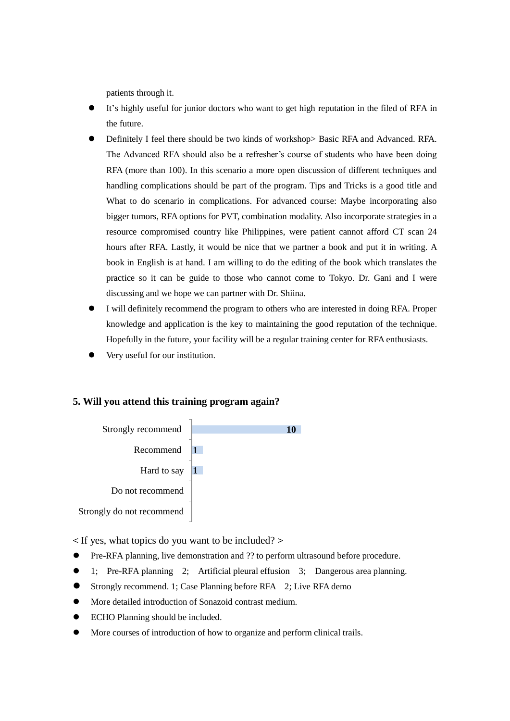patients through it.

- It's highly useful for junior doctors who want to get high reputation in the filed of RFA in the future.
- Definitely I feel there should be two kinds of workshop> Basic RFA and Advanced. RFA. The Advanced RFA should also be a refresher's course of students who have been doing RFA (more than 100). In this scenario a more open discussion of different techniques and handling complications should be part of the program. Tips and Tricks is a good title and What to do scenario in complications. For advanced course: Maybe incorporating also bigger tumors, RFA options for PVT, combination modality. Also incorporate strategies in a resource compromised country like Philippines, were patient cannot afford CT scan 24 hours after RFA. Lastly, it would be nice that we partner a book and put it in writing. A book in English is at hand. I am willing to do the editing of the book which translates the practice so it can be guide to those who cannot come to Tokyo. Dr. Gani and I were discussing and we hope we can partner with Dr. Shiina.
- I will definitely recommend the program to others who are interested in doing RFA. Proper knowledge and application is the key to maintaining the good reputation of the technique. Hopefully in the future, your facility will be a regular training center for RFA enthusiasts.
- Very useful for our institution.

#### **5. Will you attend this training program again?**



< If yes, what topics do you want to be included? >

- Pre-RFA planning, live demonstration and ?? to perform ultrasound before procedure.
- 1; Pre-RFA planning 2; Artificial pleural effusion 3; Dangerous area planning.
- Strongly recommend. 1; Case Planning before RFA 2; Live RFA demo
- More detailed introduction of Sonazoid contrast medium.
- ECHO Planning should be included.
- More courses of introduction of how to organize and perform clinical trails.